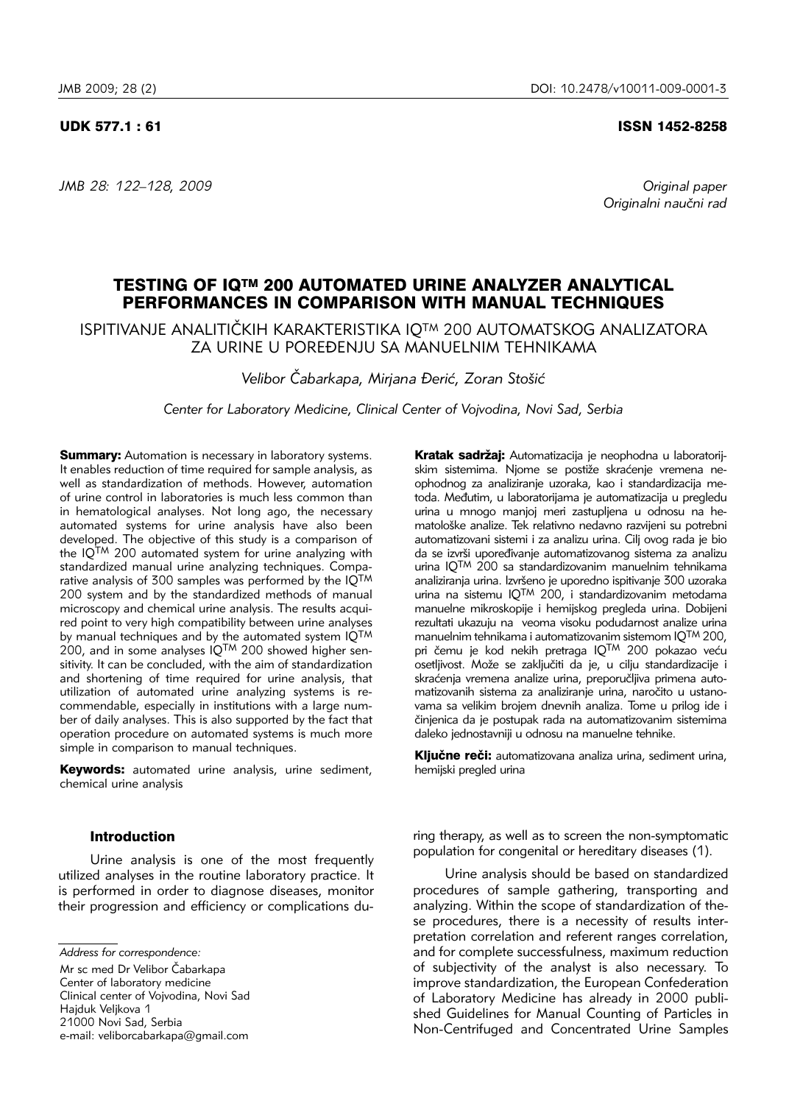*JMB 28: 122–128, 2009 Original paper*

### UDK 577.1 : 61 ISSN 1452-8258

*Originalni nau~ni rad*

# TESTING OF IQTM 200 AUTOMATED URINE ANALYZER ANALYTICAL PERFORMANCES IN COMPARISON WITH MANUAL TECHNIQUES

ISPITIVANJE ANALITIČKIH KARAKTERISTIKA IO<sup>TM</sup> 200 AUTOMATSKOG ANALIZATORA ZA URINE U POREĐENJU SA MANUELNIM TEHNIKAMA

*Velibor ^abarkapa, Mirjana \eri}, Zoran Sto{i}*

*Center for Laboratory Medicine, Clinical Center of Vojvodina, Novi Sad, Serbia*

**Summary:** Automation is necessary in laboratory systems. It enables reduction of time required for sample analysis, as well as standardization of methods. However, automation of urine control in laboratories is much less common than in hematological analyses. Not long ago, the necessary automated systems for urine analysis have also been developed. The objective of this study is a comparison of the  $10^{TM}$  200 automated system for urine analyzing with standardized manual urine analyzing techniques. Compa rative analysis of 300 samples was performed by the IOTM 200 system and by the standardized methods of manual microscopy and chemical urine analysis. The results acquired point to very high compatibility between urine analyses by manual techniques and by the automated system IQTM  $200$ , and in some analyses  $1Q^{TM}$  200 showed higher sensitivity. It can be concluded, with the aim of standardization and shortening of time required for urine analysis, that utilization of automated urine analyzing systems is recommendable, especially in institutions with a large number of daily analyses. This is also supported by the fact that operation procedure on automated systems is much more simple in comparison to manual techniques.

Keywords: automated urine analysis, urine sediment, chemical urine analysis

# Introduction

Urine analysis is one of the most frequently utilized analyses in the routine laboratory practice. It is performed in order to diagnose diseases, monitor their progression and efficiency or complications du-

Mr sc med Dr Velibor Čabarkapa Center of laboratory medicine Clinical center of Vojvodina, Novi Sad Haiduk Velikova 1 21000 Novi Sad, Serbia e-mail: veliborcabarkapa@gmail.com Kratak sadržaj: Automatizacija je neophodna u laboratorijskim sistemima. Njome se postiže skraćenje vremena neophodnog za analiziranje uzoraka, kao i standardizacija me toda. Međutim, u laboratorijama je automatizacija u pregledu urina u mnogo manjoj meri zastupljena u odnosu na hematološke analize. Tek relativno nedavno razvijeni su potrebni automatizovani sistemi i za analizu urina. Cilj ovog rada je bio da se izvrši upoređivanie automatizovanog sistema za analizu urina  $10^{TM}$  200 sa standardizovanim manuelnim tehnikama analiziranja urina. Izvršeno je uporedno ispitivanje 300 uzoraka urina na sistemu IQTM 200, i standardizovanim metodama manuelne mikroskopije i hemijskog pregleda urina. Dobijeni rezultati ukazuju na veoma visoku podudarnost analize urina manuelnim tehnikama i automatizovanim sistemom IQTM 200, pri čemu je kod nekih pretraga IQTM 200 pokazao veću osetljivost. Može se zaključiti da je, u cilju standardizacije i skraćenja vremena analize urina, preporučljiva primena automatizovanih sistema za analiziranje urina, naročito u ustanovama sa velikim brojem dnevnih analiza. Tome u prilog ide i činjenica da je postupak rada na automatizovanim sistemima daleko jednostavniji u odnosu na manuelne tehnike.

Ključne reči: automatizovana analiza urina, sediment urina, hemijski pregled urina

ring therapy, as well as to screen the non-symptomatic population for congenital or hereditary diseases (1).

Urine analysis should be based on standardized procedures of sample gathering, transporting and analyzing. Within the scope of standardization of these procedures, there is a necessity of results interpretation correlation and referent ranges correlation, and for complete successfulness, maximum reduction of subjectivity of the analyst is also necessary. To improve standardization, the European Confederation of Laboratory Medicine has already in 2000 published Guidelines for Manual Counting of Particles in Non-Centrifuged and Concentrated Urine Samples

*Address for correspondence:*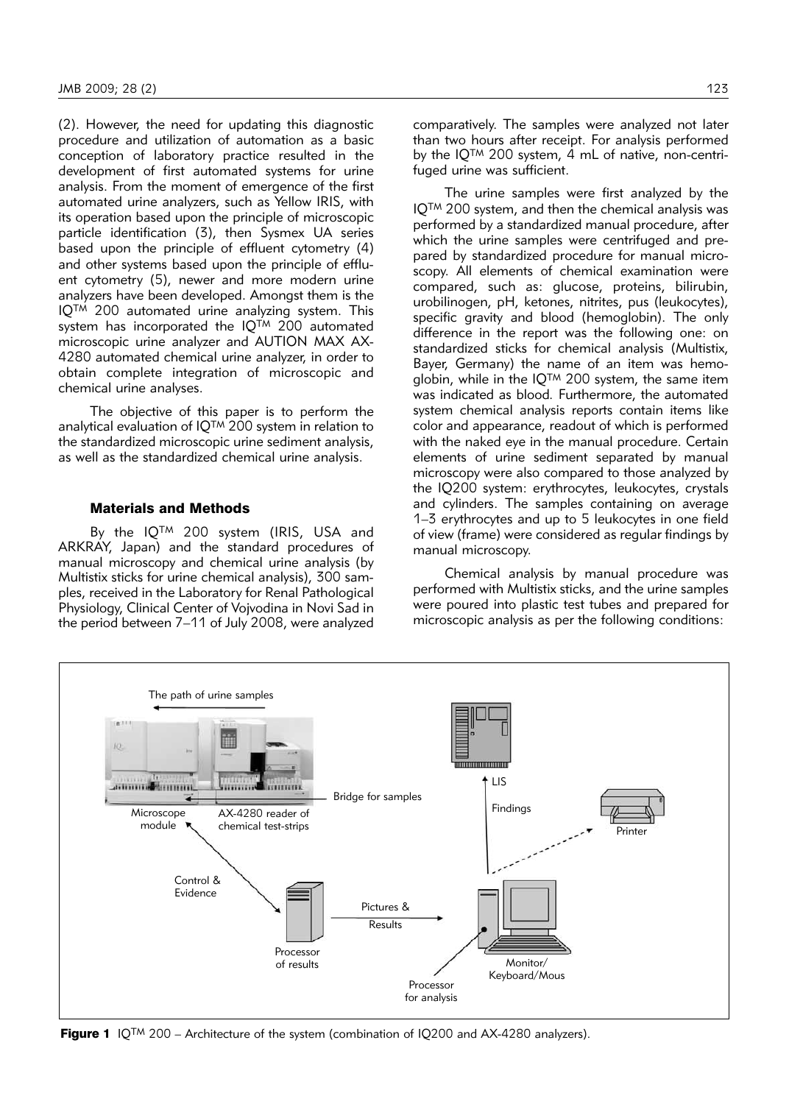$(2)$ . However, the need for updating this diagnostic procedure and utilization of automation as a basic conception of laboratory practice resulted in the development of first automated systems for urine analysis. From the moment of emergence of the first automated urine analyzers, such as Yellow IRIS, with its operation based upon the principle of microscopic particle identification (3), then Sysmex UA series based upon the principle of effluent cytometry (4) and other systems based upon the principle of effluent cytometry (5), newer and more modern urine analyzers have been developed. Amongst them is the IQTM 200 automated urine analyzing system. This system has incorporated the  $IQ^{TM}$  200 automated microscopic urine analyzer and AUTION MAX AX-4280 automated chemical urine analyzer, in order to obtain complete integration of microscopic and chemical urine analyses.

The objective of this paper is to perform the analytical evaluation of IQTM 200 system in relation to the standardized microscopic urine sediment analysis, as well as the standardized chemical urine analysis.

# Materials and Methods

By the IQ<sup>TM</sup> 200 system (IRIS, USA and ARKRAY, Japan) and the standard procedures of manual microscopy and chemical urine analysis (by Multistix sticks for urine chemical analysis), 300 sam ples, received in the Laboratory for Renal Pathological Physiology, Clinical Center of Vojvodina in Novi Sad in the period between 7–11 of July 2008, were analyzed comparatively. The samples were analyzed not later than two hours after receipt. For analysis performed by the  $IO^{TM}$  200 system, 4 mL of native, non-centrifuged urine was sufficient.

The urine samples were first analyzed by the IQTM 200 system, and then the chemical analysis was performed by a standardized manual procedure, after which the urine samples were centrifuged and prepared by standardized procedure for manual microscopy. All elements of chemical examination were compared, such as: glucose, proteins, bilirubin, urobilinogen, pH, ketones, nitrites, pus (leukocytes), specific gravity and blood (hemoglobin). The only difference in the report was the following one: on standardized sticks for chemical analysis (Multistix, Bayer, Germany) the name of an item was hemoglobin, while in the IQTM 200 system, the same item was indicated as blood*.* Furthermore, the automated system chemical analysis reports contain items like color and appearance, readout of which is performed with the naked eye in the manual procedure. Certain elements of urine sediment separated by manual microscopy were also compared to those analyzed by the IQ200 system: erythrocytes, leukocytes, crystals and cylinders. The samples containing on average 1–3 erythrocytes and up to 5 leukocytes in one field of view (frame) were considered as regular findings by manual microscopy.

Chemical analysis by manual procedure was performed with Multistix sticks, and the urine samples were poured into plastic test tubes and prepared for microscopic analysis as per the following conditions:



**Figure 1** IQ<sup>TM</sup> 200 – Architecture of the system (combination of IQ200 and AX-4280 analyzers).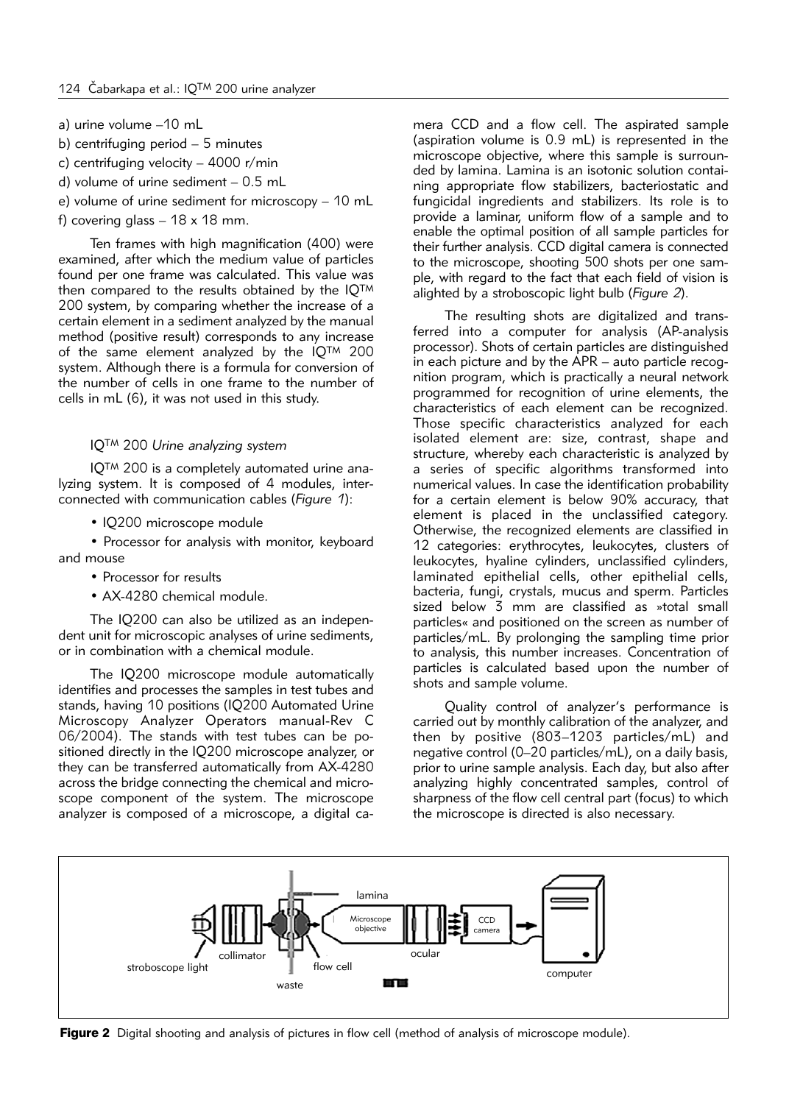- a) urine volume –10 mL
- b) centrifuging period 5 minutes
- c) centrifuging velocity 4000 r/min
- d) volume of urine sediment 0.5 mL
- e) volume of urine sediment for microscopy 10 mL
- f) covering glass  $-18 \times 18$  mm.

Ten frames with high magnification (400) were examined, after which the medium value of particles found per one frame was calculated. This value was then compared to the results obtained by the IQTM 200 system, by comparing whether the increase of a certain element in a sediment analyzed by the manual method (positive result) corresponds to any increase of the same element analyzed by the IQTM 200 system. Although there is a formula for conversion of the number of cells in one frame to the number of cells in mL (6), it was not used in this study.

# IQTM 200 *Urine analyzing system*

IQ<sup>™</sup> 200 is a completely automated urine analyzing system. It is composed of 4 modules, interconnected with communication cables (*Figure 1*):

• IQ200 microscope module

• Processor for analysis with monitor, keyboard and mouse

- Processor for results
- AX-4280 chemical module.

The IQ200 can also be utilized as an independent unit for microscopic analyses of urine sediments, or in combination with a chemical module.

The IQ200 microscope module automatically identifies and processes the samples in test tubes and stands, having 10 positions (IQ200 Automated Urine Microscopy Analyzer Operators manual-Rev C 06/2004). The stands with test tubes can be positioned directly in the IQ200 microscope analyzer, or they can be transferred automatically from AX-4280 across the bridge connecting the chemical and microscope component of the system. The microscope analyzer is composed of a microscope, a digital ca-

mera CCD and a flow cell. The aspirated sample (aspiration volume is 0.9 mL) is represented in the microscope objective, where this sample is surrounded by lamina. Lamina is an isotonic solution containing appropriate flow stabilizers, bacteriostatic and fungicidal ingredients and stabilizers. Its role is to provide a laminar, uniform flow of a sample and to enable the optimal position of all sample particles for their further analysis. CCD digital camera is connected to the microscope, shooting 500 shots per one sample, with regard to the fact that each field of vision is alighted by a stroboscopic light bulb (*Figure 2*).

The resulting shots are digitalized and transferred into a computer for analysis (AP-analysis processor). Shots of certain particles are distinguished in each picture and by the APR – auto particle recognition program, which is practically a neural network programmed for recognition of urine elements, the characteristics of each element can be recognized. Those specific characteristics analyzed for each isolated element are: size, contrast, shape and structure, whereby each characteristic is analyzed by a series of specific algorithms transformed into numerical values. In case the identification probability for a certain element is below 90% accuracy, that element is placed in the unclassified category. Otherwise, the recognized elements are classified in 12 categories: erythrocytes, leukocytes, clusters of leukocytes, hyaline cylinders, unclassified cylinders, laminated epithelial cells, other epithelial cells, bacteria, fungi, crystals, mucus and sperm. Particles sized below 3 mm are classified as »total small particles« and positioned on the screen as number of particles/mL. By prolonging the sampling time prior to analysis, this number increases. Concentration of particles is calculated based upon the number of shots and sample volume.

Quality control of analyzer's performance is carried out by monthly calibration of the analyzer, and then by positive (803–1203 particles/mL) and negative control (0–20 particles/mL), on a daily basis, prior to urine sample analysis. Each day, but also after analyzing highly concentrated samples, control of sharpness of the flow cell central part (focus) to which the microscope is directed is also necessary.



Figure 2 Digital shooting and analysis of pictures in flow cell (method of analysis of microscope module).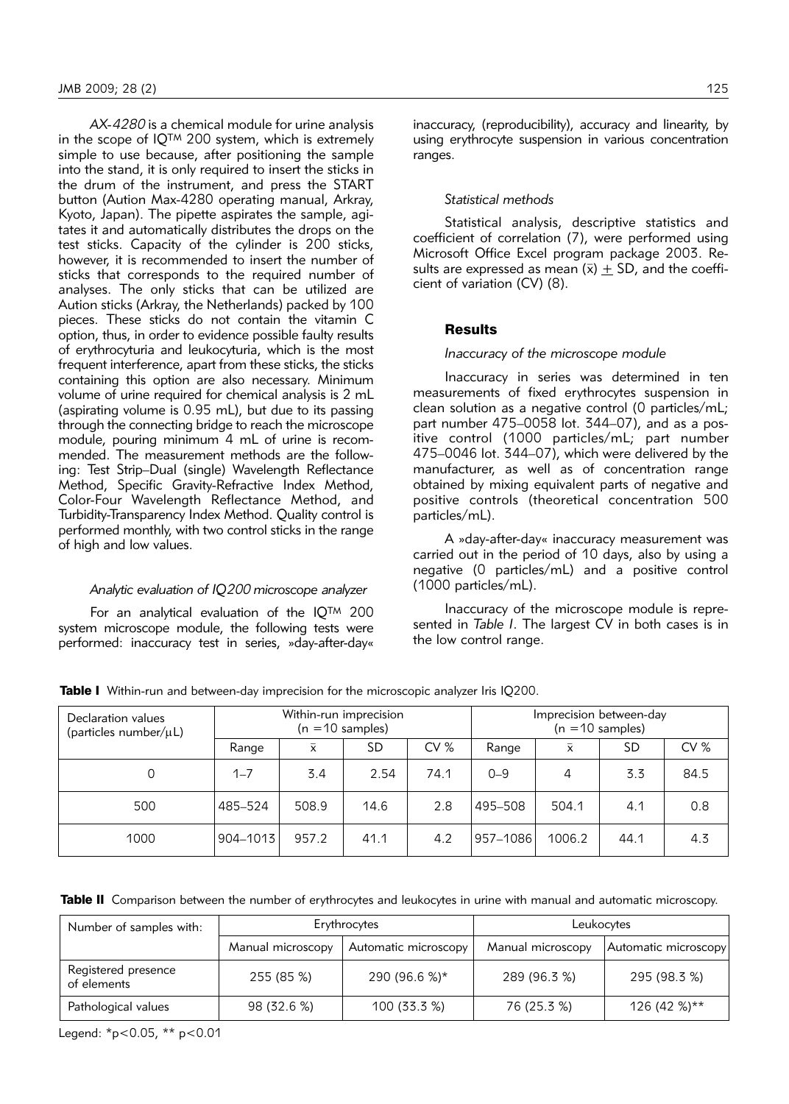*AX-4280* is a chemical module for urine analysis in the scope of IQTM 200 system, which is extremely simple to use because, after positioning the sample into the stand, it is only required to insert the sticks in the drum of the instrument, and press the START button (Aution Max-4280 operating manual, Arkray, Kyoto, Japan). The pipette aspirates the sample, agitates it and automatically distributes the drops on the test sticks. Capacity of the cylinder is 200 sticks, however, it is recommended to insert the number of sticks that corresponds to the required number of analyses. The only sticks that can be utilized are Aution sticks (Arkray, the Netherlands) packed by 100 pieces. These sticks do not contain the vitamin C option, thus, in order to evidence possible faulty results of erythrocyturia and leukocyturia, which is the most frequent interference, apart from these sticks, the sticks containing this option are also necessary. Minimum volume of urine required for chemical analysis is 2 mL (aspirating volume is 0.95 mL), but due to its passing through the connecting bridge to reach the microscope module, pouring minimum 4 mL of urine is recommended. The measurement methods are the following: Test Strip–Dual (single) Wavelength Reflectance Method, Specific Gravity-Refractive Index Method, Color-Four Wavelength Reflectance Method, and Turbidity-Transparency Index Method. Quality control is performed monthly, with two control sticks in the range of high and low values.

# *Analytic evaluation of IQ200 microscope analyzer*

For an analytical evaluation of the IQTM 200 system microscope module, the following tests were performed: inaccuracy test in series, »day-after-day«

inaccuracy, (reproducibility), accuracy and linearity, by using erythrocyte suspension in various concentration ranges.

# *Statistical methods*

Statistical analysis, descriptive statistics and coefficient of correlation (7), were performed using Microsoft Office Excel program package 2003. Results are expressed as mean  $(\bar{x})$  + SD, and the coefficient of variation (CV) (8).

# **Results**

#### *Inaccuracy of the microscope module*

Inaccuracy in series was determined in ten measurements of fixed erythrocytes suspension in clean solution as a negative control (0 particles/mL; part number  $475-0058$  lot.  $344-07$ ), and as a positive control (1000 particles/mL; part number 475–0046 lot. 344–07), which were delivered by the manufacturer, as well as of concentration range obtained by mixing equivalent parts of negative and positive controls (theoretical concentration 500 particles/mL).

A »day-after-day« inaccuracy measurement was carried out in the period of 10 days, also by using a negative (0 particles/mL) and a positive control (1000 particles/mL).

Inaccuracy of the microscope module is represented in *Table I*. The largest CV in both cases is in the low control range.

| Declaration values<br>(particles number/ $\mu$ L) | Within-run imprecision<br>$(n = 10$ samples) |           |      | Imprecision between-day<br>$(n = 10$ samples) |          |           |      |      |
|---------------------------------------------------|----------------------------------------------|-----------|------|-----------------------------------------------|----------|-----------|------|------|
|                                                   | Range                                        | $\bar{x}$ | SD   | CV%                                           | Range    | $\bar{x}$ | SD   | CV%  |
| 0                                                 | $1 - 7$                                      | 3.4       | 2.54 | 74.1                                          | $0 - 9$  | 4         | 3.3  | 84.5 |
| 500                                               | 485–524                                      | 508.9     | 14.6 | 2.8                                           | 495-508  | 504.1     | 4.1  | 0.8  |
| 1000                                              | 904–1013                                     | 957.2     | 41.1 | 4.2                                           | 957-1086 | 1006.2    | 44.1 | 4.3  |

**Table I** Within-run and between-day imprecision for the microscopic analyzer Iris IQ200.

Table II Comparison between the number of erythrocytes and leukocytes in urine with manual and automatic microscopy.

| Number of samples with:            |                   | Erythrocytes         | Leukocytes        |                      |  |  |
|------------------------------------|-------------------|----------------------|-------------------|----------------------|--|--|
|                                    | Manual microscopy | Automatic microscopy | Manual microscopy | Automatic microscopy |  |  |
| Registered presence<br>of elements | 255 (85 %)        | 290 (96.6 %)*        | 289 (96.3 %)      | 295 (98.3 %)         |  |  |
| Pathological values                | 98 (32.6 %)       | 100(33.3%)           | 76 (25.3 %)       | 126 (42 %)**         |  |  |

Legend: \*p<0.05, \*\* p<0.01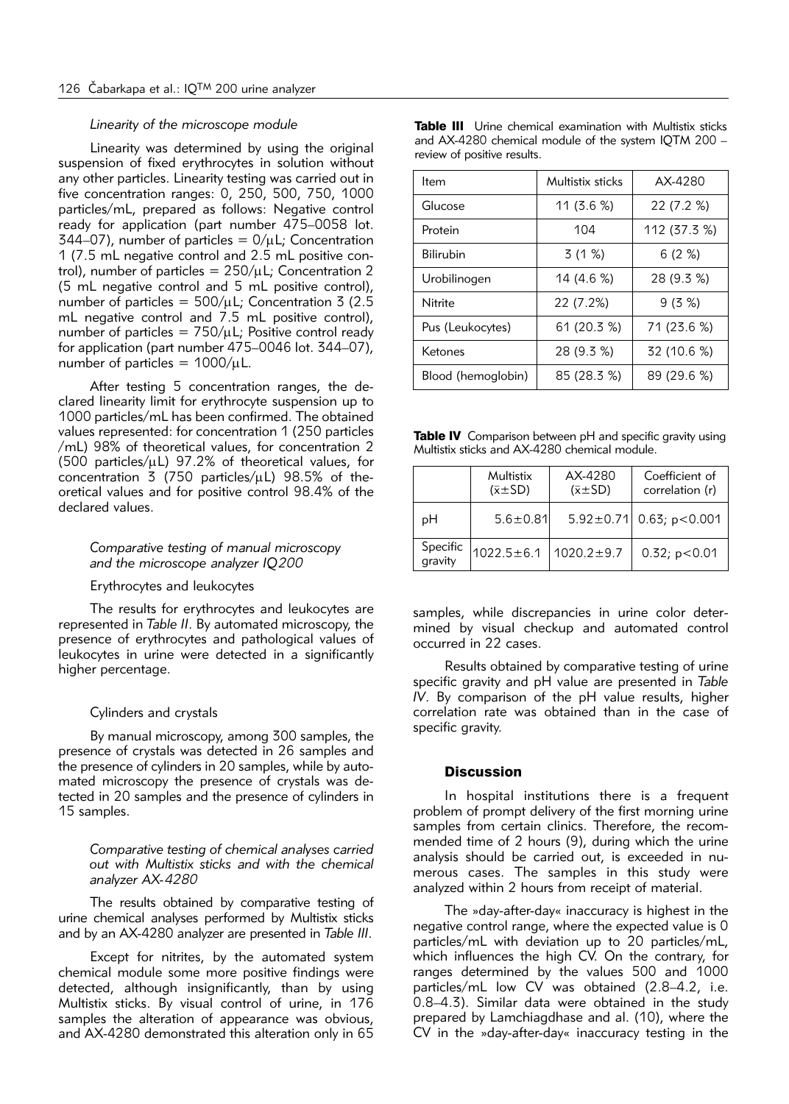#### *Linearity of the microscope module*

Linearity was determined by using the original suspension of fixed erythrocytes in solution without any other particles. Linearity testing was carried out in five concentration ranges: 0, 250, 500, 750, 1000 particles/mL, prepared as follows: Negative control ready for application (part number 475–0058 lot. 344–07), number of particles =  $0/\mu$ L; Concentration 1 (7.5 mL negative control and 2.5 mL positive con trol), number of particles =  $250/\mu$ L; Concentration 2 (5 mL negative control and 5 mL positive control), number of particles =  $500/\mu$ L; Concentration 3 (2.5) mL negative control and 7.5 mL positive control), number of particles =  $750/\mu$ L; Positive control ready for application (part number 475–0046 lot. 344–07), number of particles =  $1000/\mu$ L.

After testing 5 concentration ranges, the declared linearity limit for erythrocyte suspension up to 1000 particles/mL has been confirmed. The obtained values represented: for concentration 1 (250 particles /mL) 98% of theoretical values, for concentration 2 (500 particles/ $\mu$ L) 97.2% of theoretical values, for concentration  $\overline{5}$  (750 particles/ $\mu$ L) 98.5% of theoretical values and for positive control 98.4% of the declared values.

#### *Comparative testing of manual microscopy and the microscope analyzer IQ200*

# Erythrocytes and leukocytes

The results for erythrocytes and leukocytes are represented in *Table II*. By automated microscopy, the presence of erythrocytes and pathological values of leukocytes in urine were detected in a significantly higher percentage.

#### Cylinders and crystals

By manual microscopy, among 300 samples, the presence of crystals was detected in 26 samples and the presence of cylinders in 20 samples, while by automated microscopy the presence of crystals was detected in 20 samples and the presence of cylinders in 15 samples.

*Comparative testing of chemical analyses carried out with Multistix sticks and with the chemical analyzer AX-4280*

The results obtained by comparative testing of urine chemical analyses performed by Multistix sticks and by an AX-4280 analyzer are presented in *Table III*.

Except for nitrites, by the automated system chemical module some more positive findings were detected, although insignificantly, than by using Multistix sticks. By visual control of urine, in 176 samples the alteration of appearance was obvious, and AX-4280 demonstrated this alteration only in 65

| <b>Table III</b> Urine chemical examination with Multistix sticks |  |  |
|-------------------------------------------------------------------|--|--|
| and AX-4280 chemical module of the system IQTM 200 -              |  |  |
| review of positive results.                                       |  |  |

| ltem               | Multistix sticks | AX-4280      |  |
|--------------------|------------------|--------------|--|
| Glucose            | 11 $(3.6\%)$     | 22 (7.2 %)   |  |
| Protein            | 104              | 112 (37.3 %) |  |
| <b>Bilirubin</b>   | 3 (1 %)          | 6(2%)        |  |
| Urobilinogen       | 14 (4.6 %)       | 28 (9.3 %)   |  |
| Nitrite            | 22 (7.2%)        | 9(3%)        |  |
| Pus (Leukocytes)   | 61 (20.3 %)      | 71 (23.6 %)  |  |
| Ketones            | 28 (9.3 %)       | 32 (10.6 %)  |  |
| Blood (hemoglobin) | 85 (28.3 %)      | 89 (29.6 %)  |  |

Table IV Comparison between pH and specific gravity using Multistix sticks and AX-4280 chemical module.

|                     | Multistix<br>$(\bar{x} \pm SD)$ | AX-4280<br>$(\bar{x} \pm SD)$ | Coefficient of<br>correlation (r) |
|---------------------|---------------------------------|-------------------------------|-----------------------------------|
| pН                  | $5.6 \pm 0.81$                  |                               | $5.92 \pm 0.71$ 0.63; p < 0.001   |
| Specific<br>gravity | $1022.5 \pm 6.1$                | $1020.2 \pm 9.7$              | 0.32; p<0.01                      |

samples, while discrepancies in urine color determined by visual checkup and automated control occur red in 22 cases.

Results obtained by comparative testing of urine specific gravity and pH value are presented in *Table IV*. By comparison of the pH value results, higher correlation rate was obtained than in the case of specific gravity.

#### **Discussion**

In hospital institutions there is a frequent problem of prompt delivery of the first morning urine samples from certain clinics. Therefore, the recommended time of 2 hours (9), during which the urine analysis should be carried out, is exceeded in numerous cases. The samples in this study were analyzed within 2 hours from receipt of material.

The »day-after-day« inaccuracy is highest in the negative control range, where the expected value is 0 particles/mL with deviation up to 20 particles/mL, which influences the high CV. On the contrary, for ranges determined by the values 500 and 1000 particles/mL low CV was obtained (2.8–4.2, i.e. 0.8–4.3). Similar data were obtained in the study prepared by Lamchiagdhase and al. (10), where the CV in the »day-after-day« inaccuracy testing in the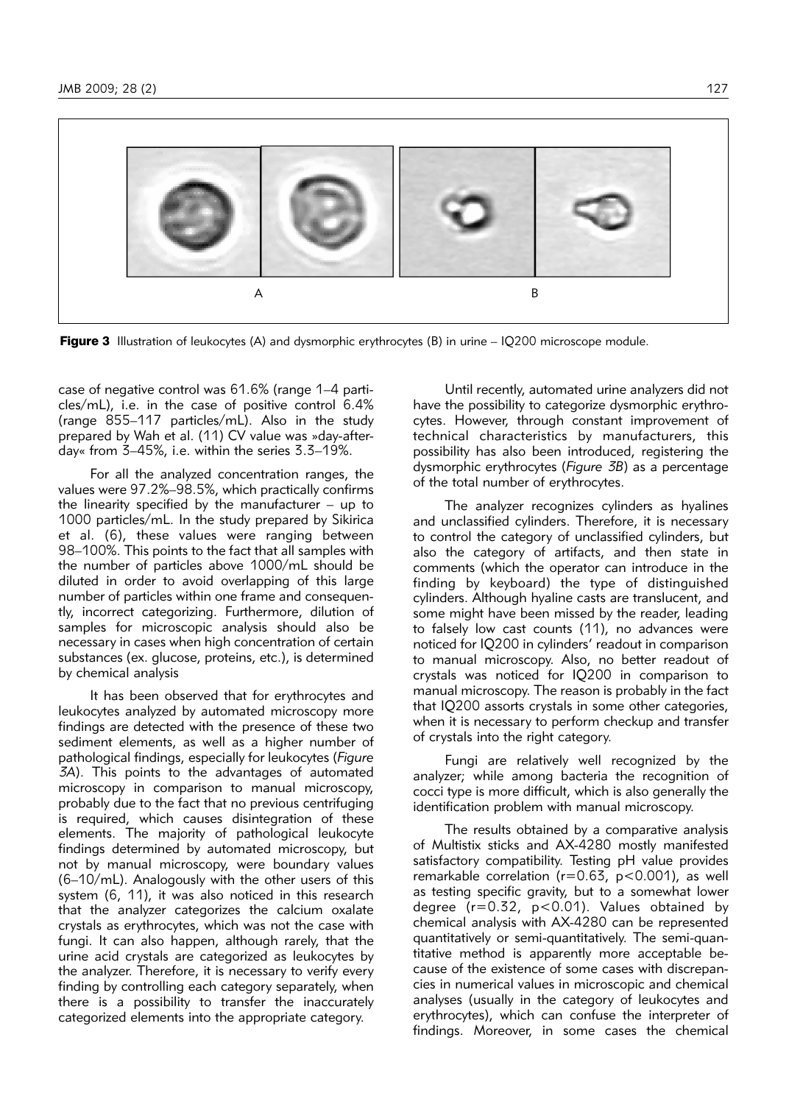

Figure 3 Illustration of leukocytes (A) and dysmorphic erythrocytes (B) in urine – IQ200 microscope module.

case of negative control was 61.6% (range 1-4 particles/mL), i.e. in the case of positive control 6.4% (range 855–117 particles/mL). Also in the study prepared by Wah et al. (11) CV value was »day-afterday« from 3–45%, i.e. within the series 3.3–19%.

For all the analyzed concentration ranges, the values were 97.2%–98.5%, which practically confirms the linearity specified by the manufacturer – up to 1000 particles/mL. In the study prepared by Sikirica et al. (6), these values were ranging between 98–100%. This points to the fact that all samples with the number of particles above 1000/mL should be diluted in order to avoid overlapping of this large number of particles within one frame and consequently, incorrect categorizing. Furthermore, dilution of samples for microscopic analysis should also be necessary in cases when high concentration of certain substances (ex. glucose, proteins, etc.), is determined by chemical analysis

It has been observed that for erythrocytes and leukocytes analyzed by automated microscopy more findings are detected with the presence of these two sediment elements, as well as a higher number of pathological findings, especially for leukocytes (*Figure 3A*). This points to the advantages of automated microscopy in comparison to manual microscopy, probably due to the fact that no previous centrifuging is required, which causes disintegration of these elements. The majority of pathological leukocyte findings determined by automated microscopy, but not by manual microscopy, were boundary values (6–10/mL). Analogously with the other users of this system (6, 11), it was also noticed in this research that the analyzer categorizes the calcium oxalate crystals as erythrocytes, which was not the case with fungi. It can also happen, although rarely, that the urine acid crystals are categorized as leukocytes by the analyzer. Therefore, it is necessary to verify every finding by controlling each category separately, when there is a possibility to transfer the inaccurately categorized elements into the appropriate category.

Until recently, automated urine analyzers did not have the possibility to categorize dysmorphic erythrocytes. However, through constant improvement of technical characteristics by manufacturers, this possibility has also been introduced, registering the dysmorphic erythrocytes (*Figure 3B*) as a percentage of the total number of erythrocytes.

The analyzer recognizes cylinders as hyalines and unclassified cylinders. Therefore, it is necessary to control the category of unclassified cylinders, but also the category of artifacts, and then state in comments (which the operator can introduce in the finding by keyboard) the type of distinguished cylinders. Although hyaline casts are translucent, and some might have been missed by the reader, leading to falsely low cast counts (11), no advances were noticed for IQ200 in cylinders' readout in comparison to manual microscopy. Also, no better readout of crystals was noticed for IQ200 in comparison to manual microscopy. The reason is probably in the fact that IQ200 assorts crystals in some other categories, when it is necessary to perform checkup and transfer of crystals into the right category.

Fungi are relatively well recognized by the analyzer; while among bacteria the recognition of cocci type is more difficult, which is also generally the identification problem with manual microscopy.

The results obtained by a comparative analysis of Multistix sticks and AX-4280 mostly manifested satisfactory compatibility. Testing pH value provides remarkable correlation (r=0.63, p<0.001), as well as testing specific gravity, but to a somewhat lower degree  $(r=0.32, p<0.01)$ . Values obtained by chemical analysis with AX-4280 can be represented quantitatively or semi-quantitatively. The semi-quan titative method is apparently more acceptable because of the existence of some cases with discrepancies in numerical values in microscopic and chemical analyses (usually in the category of leukocytes and erythrocytes), which can confuse the interpreter of findings. Moreover, in some cases the chemical